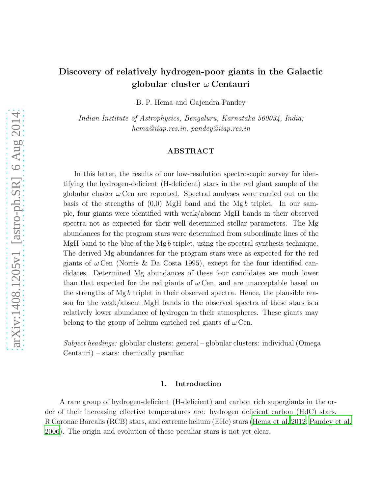# Discovery of relatively hydrogen-poor giants in the Galactic globular cluster  $\omega$  Centauri

B. P. Hema and Gajendra Pandey

*Indian Institute of Astrophysics, Bengaluru, Karnataka 560034, India; hema@iiap.res.in, pandey@iiap.res.in*

## ABSTRACT

In this letter, the results of our low-resolution spectroscopic survey for identifying the hydrogen-deficient (H-deficient) stars in the red giant sample of the globular cluster  $\omega$  Cen are reported. Spectral analyses were carried out on the basis of the strengths of  $(0,0)$  MgH band and the Mgb triplet. In our sample, four giants were identified with weak/absent MgH bands in their observed spectra not as expected for their well determined stellar parameters. The Mg abundances for the program stars were determined from subordinate lines of the MgH band to the blue of the Mgb triplet, using the spectral synthesis technique. The derived Mg abundances for the program stars were as expected for the red giants of  $\omega$  Cen (Norris & Da Costa 1995), except for the four identified candidates. Determined Mg abundances of these four candidates are much lower than that expected for the red giants of  $\omega$  Cen, and are unacceptable based on the strengths of  $Mg b$  triplet in their observed spectra. Hence, the plausible reason for the weak/absent MgH bands in the observed spectra of these stars is a relatively lower abundance of hydrogen in their atmospheres. These giants may belong to the group of helium enriched red giants of  $\omega$  Cen.

*Subject headings:* globular clusters: general – globular clusters: individual (Omega Centauri) – stars: chemically peculiar

## 1. Introduction

A rare group of hydrogen-deficient (H-deficient) and carbon rich supergiants in the order of their increasing effective temperatures are: hydrogen deficient carbon (HdC) stars, R Coronae Borealis (RCB) stars, and extreme helium (EHe) stars [\(Hema et al. 2012](#page-8-0); [Pandey et al.](#page-8-1) [2006\)](#page-8-1). The origin and evolution of these peculiar stars is not yet clear.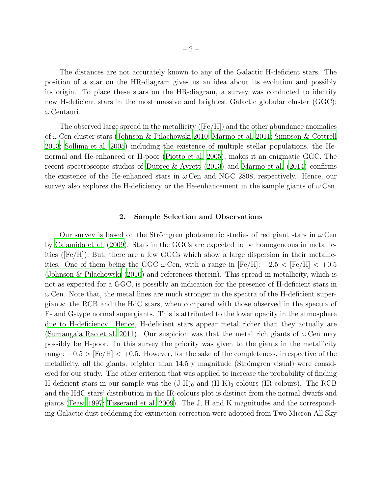The distances are not accurately known to any of the Galactic H-deficient stars. The position of a star on the HR-diagram gives us an idea about its evolution and possibly its origin. To place these stars on the HR-diagram, a survey was conducted to identify new H-deficient stars in the most massive and brightest Galactic globular cluster (GGC):  $\omega$  Centauri.

The observed large spread in the metallicity  $(Fe/H)$  and the other abundance anomalies of ω Cen cluster stars [\(Johnson & Pilachowski 2010](#page-8-2); [Marino et al. 2011;](#page-8-3) [Simpson & Cottrell](#page-8-4) [2013;](#page-8-4) [Sollima et al. 2005](#page-8-5)) including the existence of multiple stellar populations, the Henormal and He-enhanced or H-poor [\(Piotto et al. 2005\)](#page-8-6), makes it an enigmatic GGC. The recent spectroscopic studies of [Dupree & Avrett \(2013\)](#page-7-0) and [Marino et al. \(2014\)](#page-8-7) confirms the existence of the He-enhanced stars in  $\omega$  Cen and NGC 2808, respectively. Hence, our survey also explores the H-deficiency or the He-enhancement in the sample giants of  $\omega$  Cen.

#### 2. Sample Selection and Observations

Our survey is based on the Strömgren photometric studies of red giant stars in  $\omega$  Cen by [Calamida et al. \(2009\)](#page-7-1). Stars in the GGCs are expected to be homogeneous in metallicities ([Fe/H]). But, there are a few GGCs which show a large dispersion in their metallicities. One of them being the GGC  $\omega$  Cen, with a range in [Fe/H]:  $-2.5 <$  [Fe/H]  $< +0.5$ [\(Johnson & Pilachowski \(2010\)](#page-8-2) and references therein). This spread in metallicity, which is not as expected for a GGC, is possibly an indication for the presence of H-deficient stars in  $\omega$  Cen. Note that, the metal lines are much stronger in the spectra of the H-deficient supergiants: the RCB and the HdC stars, when compared with those observed in the spectra of F- and G-type normal supergiants. This is attributed to the lower opacity in the atmosphere due to H-deficiency. Hence, H-deficient stars appear metal richer than they actually are [\(Sumangala Rao et al. 2011\)](#page-8-8). Our suspicion was that the metal rich giants of  $\omega$  Cen may possibly be H-poor. In this survey the priority was given to the giants in the metallicity range:  $-0.5 >$  [Fe/H]  $< +0.5$ . However, for the sake of the completeness, irrespective of the metallicity, all the giants, brighter than  $14.5$  y magnitude (Strömgren visual) were considered for our study. The other criterion that was applied to increase the probability of finding H-deficient stars in our sample was the  $(J-H)_0$  and  $(H-K)_0$  colours (IR-colours). The RCB and the HdC stars' distribution in the IR-colours plot is distinct from the normal dwarfs and giants [\(Feast 1997;](#page-7-2) [Tisserand et al. 2009](#page-8-9)). The J, H and K magnitudes and the corresponding Galactic dust reddening for extinction correction were adopted from Two Micron All Sky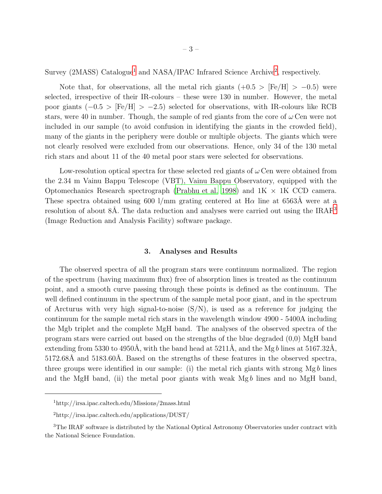Survey (2MASS) Catalogue<sup>[1](#page-2-0)</sup> and NASA/IPAC Infrared Science Archive<sup>[2](#page-2-1)</sup>, respectively.

Note that, for observations, all the metal rich giants  $(+0.5 > [Fe/H] > -0.5)$  were selected, irrespective of their IR-colours – these were 130 in number. However, the metal poor giants  $(-0.5 > [Fe/H] > -2.5)$  selected for observations, with IR-colours like RCB stars, were 40 in number. Though, the sample of red giants from the core of  $\omega$  Cen were not included in our sample (to avoid confusion in identifying the giants in the crowded field), many of the giants in the periphery were double or multiple objects. The giants which were not clearly resolved were excluded from our observations. Hence, only 34 of the 130 metal rich stars and about 11 of the 40 metal poor stars were selected for observations.

Low-resolution optical spectra for these selected red giants of  $\omega$  Cen were obtained from the 2.34 m Vainu Bappu Telescope (VBT), Vainu Bappu Observatory, equipped with the Optomechanics Research spectrograph [\(Prabhu et al. 1998\)](#page-8-10) and  $1K \times 1K$  CCD camera. These spectra obtained using 600 l/mm grating centered at  $H\alpha$  line at 6563Å were at a resolution of about 8Å. The data reduction and analyses were carried out using the  $IRAF<sup>3</sup>$  $IRAF<sup>3</sup>$  $IRAF<sup>3</sup>$ (Image Reduction and Analysis Facility) software package.

## 3. Analyses and Results

The observed spectra of all the program stars were continuum normalized. The region of the spectrum (having maximum flux) free of absorption lines is treated as the continuum point, and a smooth curve passing through these points is defined as the continuum. The well defined continuum in the spectrum of the sample metal poor giant, and in the spectrum of Arcturus with very high signal-to-noise  $(S/N)$ , is used as a reference for judging the continuum for the sample metal rich stars in the wavelength window 4900 - 5400A including the Mgb triplet and the complete MgH band. The analyses of the observed spectra of the program stars were carried out based on the strengths of the blue degraded (0,0) MgH band extending from 5330 to 4950Å, with the band head at  $5211\text{\AA}$ , and the Mg b lines at  $5167.32\text{\AA}$ , 5172.68Å and 5183.60Å. Based on the strengths of these features in the observed spectra, three groups were identified in our sample: (i) the metal rich giants with strong  $Mgb$  lines and the MgH band, (ii) the metal poor giants with weak  $Mgb$  lines and no MgH band,

<sup>1</sup>http://irsa.ipac.caltech.edu/Missions/2mass.html

<span id="page-2-1"></span><span id="page-2-0"></span><sup>2</sup>http://irsa.ipac.caltech.edu/applications/DUST/

<span id="page-2-2"></span><sup>&</sup>lt;sup>3</sup>The IRAF software is distributed by the National Optical Astronomy Observatories under contract with the National Science Foundation.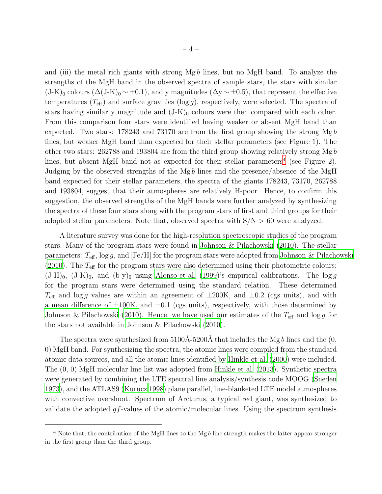and (iii) the metal rich giants with strong  $Mgb$  lines, but no  $MgH$  band. To analyze the strengths of the MgH band in the observed spectra of sample stars, the stars with similar  $(J-K)_0$  colours  $(\Delta (J-K)_0 \sim \pm 0.1)$ , and y magnitudes  $(\Delta y \sim \pm 0.5)$ , that represent the effective temperatures  $(T_{\text{eff}})$  and surface gravities (log g), respectively, were selected. The spectra of stars having similar y magnitude and  $(J-K)_0$  colours were then compared with each other. From this comparison four stars were identified having weaker or absent MgH band than expected. Two stars: 178243 and 73170 are from the first group showing the strong  $Mgb$ lines, but weaker MgH band than expected for their stellar parameters (see Figure 1). The other two stars:  $262788$  and 193804 are from the third group showing relatively strong Mgb lines, but absent MgH band not as expected for their stellar parameters<sup>[4](#page-3-0)</sup> (see Figure 2). Judging by the observed strengths of the  $Mgb$  lines and the presence/absence of the MgH band expected for their stellar parameters, the spectra of the giants 178243, 73170, 262788 and 193804, suggest that their atmospheres are relatively H-poor. Hence, to confirm this suggestion, the observed strengths of the MgH bands were further analyzed by synthesizing the spectra of these four stars along with the program stars of first and third groups for their adopted stellar parameters. Note that, observed spectra with  $S/N > 60$  were analyzed.

A literature survey was done for the high-resolution spectroscopic studies of the program stars. Many of the program stars were found in [Johnson & Pilachowski \(2010](#page-8-2)). The stellar parameters:  $T_{\text{eff}}$ ,  $\log g$ , and [Fe/H] for the program stars were adopted from [Johnson & Pilachowski](#page-8-2) [\(2010\)](#page-8-2). The  $T_{\text{eff}}$  for the program stars were also determined using their photometric colours:  $(J-H)_0$ ,  $(J-K)_0$ , and  $(b-y)_0$  using [Alonso et al. \(1999\)](#page-7-3)'s empirical calibrations. The log g for the program stars were determined using the standard relation. These determined  $T_{\text{eff}}$  and log g values are within an agreement of  $\pm 200$ K, and  $\pm 0.2$  (cgs units), and with a mean difference of  $\pm 100$ K, and  $\pm 0.1$  (cgs units), respectively, with those determined by [Johnson & Pilachowski \(2010\)](#page-8-2). Hence, we have used our estimates of the  $T_{\text{eff}}$  and log g for the stars not available in [Johnson & Pilachowski \(2010](#page-8-2)).

The spectra were synthesized from  $5100\text{\AA}-5200\text{\AA}$  that includes the Mgb lines and the  $(0, 0)$ 0) MgH band. For synthesizing the spectra, the atomic lines were compiled from the standard atomic data sources, and all the atomic lines identified by [Hinkle et al. \(2000\)](#page-8-11) were included. The (0, 0) MgH molecular line list was adopted from [Hinkle et al. \(2013\)](#page-8-12). Synthetic spectra were generated by combining the LTE spectral line analysis/synthesis code MOOG [\(Sneden](#page-8-13) [1973\)](#page-8-13), and the ATLAS9 [\(Kurucz 1998](#page-8-14)) plane parallel, line-blanketed LTE model atmospheres with convective overshoot. Spectrum of Arcturus, a typical red giant, was synthesized to validate the adopted  $qf$ -values of the atomic/molecular lines. Using the spectrum synthesis

<span id="page-3-0"></span> $4$  Note that, the contribution of the MgH lines to the Mgb line strength makes the latter appear stronger in the first group than the third group.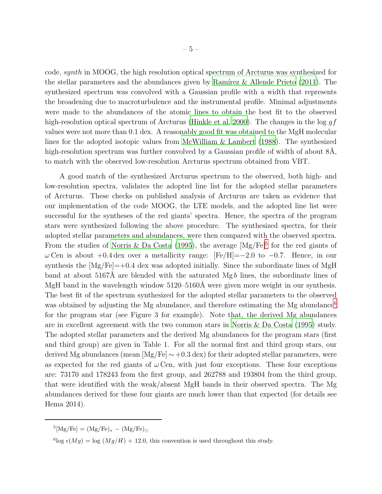code, synth in MOOG, the high resolution optical spectrum of Arcturus was synthesized for the stellar parameters and the abundances given by Ramírez  $\&$  Allende Prieto (2011). The synthesized spectrum was convolved with a Gaussian profile with a width that represents the broadening due to macroturbulence and the instrumental profile. Minimal adjustments were made to the abundances of the atomic lines to obtain the best fit to the observed high-resolution optical spectrum of Arcturus [\(Hinkle et al. 2000](#page-8-11)). The changes in the log  $gf$ values were not more than 0.1 dex. A reasonably good fit was obtained to the MgH molecular lines for the adopted isotopic values from [McWilliam & Lambert \(1988\)](#page-8-16). The synthesized high-resolution spectrum was further convolved by a Gaussian profile of width of about 8A, to match with the observed low-resolution Arcturus spectrum obtained from VBT.

A good match of the synthesized Arcturus spectrum to the observed, both high- and low-resolution spectra, validates the adopted line list for the adopted stellar parameters of Arcturus. These checks on published analysis of Arcturus are taken as evidence that our implementation of the code MOOG, the LTE models, and the adopted line list were successful for the syntheses of the red giants' spectra. Hence, the spectra of the program stars were synthesized following the above procedure. The synthesized spectra, for their adopted stellar parameters and abundances, were then compared with the observed spectra. From the studies of [Norris & Da Costa \(1995\)](#page-8-17), the average  $[Mg/Fe]$ <sup>[5](#page-4-0)</sup> for the red giants of  $\omega$  Cen is about +0.4 dex over a metallicity range: [Fe/H]=−2.0 to −0.7. Hence, in our synthesis the  $[Mg/Fe]=+0.4$  dex was adopted initially. Since the subordinate lines of MgH band at about 5167Å are blended with the saturated  $Mgb$  lines, the subordinate lines of MgH band in the wavelength window  $5120-5160\text{\AA}$  were given more weight in our synthesis. The best fit of the spectrum synthesized for the adopted stellar parameters to the observed was obtained by adjusting the Mg abundance, and therefore estimating the Mg abundance<sup>[6](#page-4-1)</sup> for the program star (see Figure 3 for example). Note that, the derived Mg abundances are in excellent agreement with the two common stars in [Norris & Da Costa \(1995\)](#page-8-17) study. The adopted stellar parameters and the derived Mg abundances for the program stars (first and third group) are given in Table 1. For all the normal first and third group stars, our derived Mg abundances (mean  $[Mg/Fe] \sim +0.3$  dex) for their adopted stellar parameters, were as expected for the red giants of  $\omega$  Cen, with just four exceptions. These four exceptions are: 73170 and 178243 from the first group, and 262788 and 193804 from the third group, that were identified with the weak/absent MgH bands in their observed spectra. The Mg abundances derived for these four giants are much lower than that expected (for details see Hema 2014).

 $^{5}$ [Mg/Fe] = (Mg/Fe)<sub>\*</sub> – (Mg/Fe)<sub>O</sub>

<span id="page-4-1"></span><span id="page-4-0"></span><sup>&</sup>lt;sup>6</sup>log  $\epsilon(Mg) = \log(Mg/H) + 12.0$ , this convention is used throughout this study.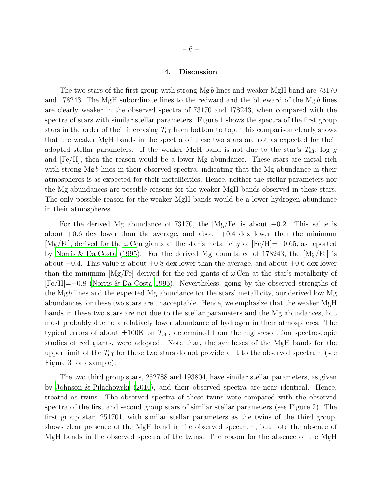#### 4. Discussion

The two stars of the first group with strong Mg b lines and weaker MgH band are 73170 and 178243. The MgH subordinate lines to the redward and the blueward of the Mgb lines are clearly weaker in the observed spectra of 73170 and 178243, when compared with the spectra of stars with similar stellar parameters. Figure 1 shows the spectra of the first group stars in the order of their increasing  $T_{\text{eff}}$  from bottom to top. This comparison clearly shows that the weaker MgH bands in the spectra of these two stars are not as expected for their adopted stellar parameters. If the weaker MgH band is not due to the star's  $T_{\text{eff}}$ , log g and [Fe/H], then the reason would be a lower Mg abundance. These stars are metal rich with strong Mgb lines in their observed spectra, indicating that the Mg abundance in their atmospheres is as expected for their metallicities. Hence, neither the stellar parameters nor the Mg abundances are possible reasons for the weaker MgH bands observed in these stars. The only possible reason for the weaker MgH bands would be a lower hydrogen abundance in their atmospheres.

For the derived Mg abundance of 73170, the [Mg/Fe] is about  $-0.2$ . This value is about  $+0.6$  dex lower than the average, and about  $+0.4$  dex lower than the minimum  $[Mg/Fe]$ , derived for the  $\omega$  Cen giants at the star's metallicity of  $[Fe/H]=-0.65$ , as reported by [Norris & Da Costa \(1995\)](#page-8-17). For the derived Mg abundance of 178243, the [Mg/Fe] is about  $-0.4$ . This value is about  $+0.8$  dex lower than the average, and about  $+0.6$  dex lower than the minimum  $[Mg/Fe]$  derived for the red giants of  $\omega$  Cen at the star's metallicity of [Fe/H]=−0.8 [\(Norris & Da Costa 1995\)](#page-8-17). Nevertheless, going by the observed strengths of the Mg b lines and the expected Mg abundance for the stars' metallicity, our derived low Mg abundances for these two stars are unacceptable. Hence, we emphasize that the weaker MgH bands in these two stars are not due to the stellar parameters and the Mg abundances, but most probably due to a relatively lower abundance of hydrogen in their atmospheres. The typical errors of about  $\pm 100$ K on  $T_{\text{eff}}$ , determined from the high-resolution spectroscopic studies of red giants, were adopted. Note that, the syntheses of the MgH bands for the upper limit of the  $T_{\text{eff}}$  for these two stars do not provide a fit to the observed spectrum (see Figure 3 for example).

The two third group stars, 262788 and 193804, have similar stellar parameters, as given by [Johnson & Pilachowski \(2010\)](#page-8-2), and their observed spectra are near identical. Hence, treated as twins. The observed spectra of these twins were compared with the observed spectra of the first and second group stars of similar stellar parameters (see Figure 2). The first group star, 251701, with similar stellar parameters as the twins of the third group, shows clear presence of the MgH band in the observed spectrum, but note the absence of MgH bands in the observed spectra of the twins. The reason for the absence of the MgH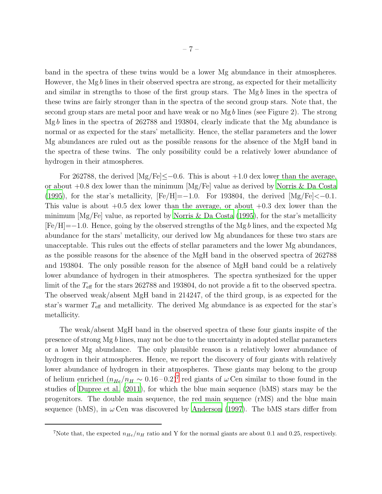band in the spectra of these twins would be a lower Mg abundance in their atmospheres. However, the Mgb lines in their observed spectra are strong, as expected for their metallicity and similar in strengths to those of the first group stars. The  $Mg b$  lines in the spectra of these twins are fairly stronger than in the spectra of the second group stars. Note that, the second group stars are metal poor and have weak or no  $Mg b$  lines (see Figure 2). The strong Mg b lines in the spectra of 262788 and 193804, clearly indicate that the Mg abundance is normal or as expected for the stars' metallicity. Hence, the stellar parameters and the lower Mg abundances are ruled out as the possible reasons for the absence of the MgH band in the spectra of these twins. The only possibility could be a relatively lower abundance of hydrogen in their atmospheres.

For 262788, the derived  $\text{[Mg/Fe]} \leq -0.6$ . This is about  $+1.0$  dex lower than the average, or about  $+0.8$  dex lower than the minimum  $[Mg/Fe]$  value as derived by [Norris & Da Costa](#page-8-17) [\(1995\)](#page-8-17), for the star's metallicity,  $[Fe/H]=-1.0$ . For 193804, the derived  $[Mg/Fe]<-0.1$ . This value is about  $+0.5$  dex lower than the average, or about  $+0.3$  dex lower than the minimum  $[Mg/Fe]$  value, as reported by [Norris & Da Costa \(1995](#page-8-17)), for the star's metallicity [Fe/H]=−1.0. Hence, going by the observed strengths of the Mg b lines, and the expected Mg abundance for the stars' metallicity, our derived low Mg abundances for these two stars are unacceptable. This rules out the effects of stellar parameters and the lower Mg abundances, as the possible reasons for the absence of the MgH band in the observed spectra of 262788 and 193804. The only possible reason for the absence of MgH band could be a relatively lower abundance of hydrogen in their atmospheres. The spectra synthesized for the upper limit of the  $T_{\text{eff}}$  for the stars 262788 and 193804, do not provide a fit to the observed spectra. The observed weak/absent MgH band in 214247, of the third group, is as expected for the star's warmer  $T_{\text{eff}}$  and metallicity. The derived Mg abundance is as expected for the star's metallicity.

The weak/absent MgH band in the observed spectra of these four giants inspite of the presence of strong Mg b lines, may not be due to the uncertainty in adopted stellar parameters or a lower Mg abundance. The only plausible reason is a relatively lower abundance of hydrogen in their atmospheres. Hence, we report the discovery of four giants with relatively lower abundance of hydrogen in their atmospheres. These giants may belong to the group of helium enriched  $(n_{He}/n_H \sim 0.16 - 0.2)^7$  $(n_{He}/n_H \sim 0.16 - 0.2)^7$  red giants of  $\omega$  Cen similar to those found in the studies of [Dupree et al. \(2011\)](#page-7-4), for which the blue main sequence (bMS) stars may be the progenitors. The double main sequence, the red main sequence (rMS) and the blue main sequence (bMS), in  $\omega$  Cen was discovered by [Anderson \(1997\)](#page-7-5). The bMS stars differ from

<sup>&</sup>lt;sup>7</sup>Note that, the expected  $n_{He}/n_H$  ratio and Y for the normal giants are about 0.1 and 0.25, respectively.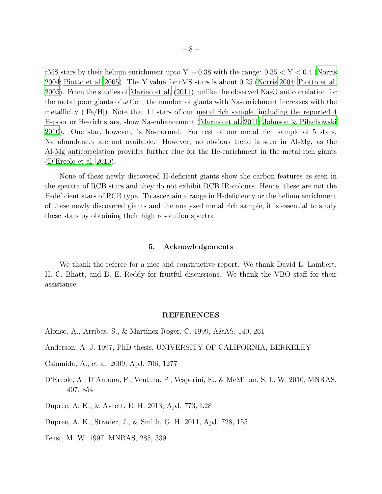rMS stars by their helium enrichment upto  $Y \sim 0.38$  with the range:  $0.35 < Y < 0.4$  [\(Norris](#page-8-19) [2004;](#page-8-19) [Piotto et al. 2005\)](#page-8-6). The Y value for rMS stars is about 0.25 [\(Norris 2004](#page-8-19); [Piotto et al.](#page-8-6) [2005\)](#page-8-6). From the studies of [Marino et al. \(2011](#page-8-3)), unlike the observed Na-O anticorrelation for the metal poor giants of  $\omega$  Cen, the number of giants with Na-enrichment increases with the metallicity ([Fe/H]). Note that 11 stars of our metal rich sample, including the reported 4 H-poor or He-rich stars, show Na-enhancement [\(Marino et al. 2011;](#page-8-3) [Johnson & Pilachowski](#page-8-2) [2010\)](#page-8-2). One star, however, is Na-normal. For rest of our metal rich sample of 5 stars, Na abundances are not available. However, no obvious trend is seen in Al-Mg, as the Al-Mg anticorrelation provides further clue for the He-enrichment in the metal rich giants [\(D'Ercole et al. 2010\)](#page-7-6).

None of these newly discovered H-deficient giants show the carbon features as seen in the spectra of RCB stars and they do not exhibit RCB IR-colours. Hence, these are not the H-deficient stars of RCB type. To ascertain a range in H-deficiency or the helium enrichment of these newly discovered giants and the analyzed metal rich sample, it is essential to study these stars by obtaining their high resolution spectra.

### 5. Acknowledgements

We thank the referee for a nice and constructive report. We thank David L. Lambert, H. C. Bhatt, and B. E. Reddy for fruitful discussions. We thank the VBO staff for their assistance.

#### REFERENCES

- <span id="page-7-3"></span>Alonso, A., Arribas, S., & Mart´ınez-Roger, C. 1999, A&AS, 140, 261
- <span id="page-7-5"></span>Anderson, A. J. 1997, PhD thesis, UNIVERSITY OF CALIFORNIA, BERKELEY
- <span id="page-7-1"></span>Calamida, A., et al. 2009, ApJ, 706, 1277
- <span id="page-7-6"></span>D'Ercole, A., D'Antona, F., Ventura, P., Vesperini, E., & McMillan, S. L. W. 2010, MNRAS, 407, 854

<span id="page-7-0"></span>Dupree, A. K., & Avrett, E. H. 2013, ApJ, 773, L28

<span id="page-7-4"></span>Dupree, A. K., Strader, J., & Smith, G. H. 2011, ApJ, 728, 155

<span id="page-7-2"></span>Feast, M. W. 1997, MNRAS, 285, 339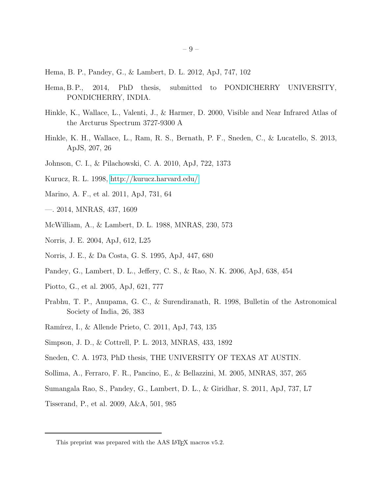- <span id="page-8-0"></span>Hema, B. P., Pandey, G., & Lambert, D. L. 2012, ApJ, 747, 102
- Hema, B. P., 2014, PhD thesis, submitted to PONDICHERRY UNIVERSITY, PONDICHERRY, INDIA.
- <span id="page-8-11"></span>Hinkle, K., Wallace, L., Valenti, J., & Harmer, D. 2000, Visible and Near Infrared Atlas of the Arcturus Spectrum 3727-9300 A
- <span id="page-8-12"></span>Hinkle, K. H., Wallace, L., Ram, R. S., Bernath, P. F., Sneden, C., & Lucatello, S. 2013, ApJS, 207, 26
- <span id="page-8-2"></span>Johnson, C. I., & Pilachowski, C. A. 2010, ApJ, 722, 1373
- <span id="page-8-14"></span>Kurucz, R. L. 1998,<http://kurucz.harvard.edu/>
- <span id="page-8-3"></span>Marino, A. F., et al. 2011, ApJ, 731, 64
- <span id="page-8-7"></span>—. 2014, MNRAS, 437, 1609
- <span id="page-8-16"></span>McWilliam, A., & Lambert, D. L. 1988, MNRAS, 230, 573
- <span id="page-8-19"></span>Norris, J. E. 2004, ApJ, 612, L25
- <span id="page-8-17"></span>Norris, J. E., & Da Costa, G. S. 1995, ApJ, 447, 680
- <span id="page-8-1"></span>Pandey, G., Lambert, D. L., Jeffery, C. S., & Rao, N. K. 2006, ApJ, 638, 454
- <span id="page-8-6"></span>Piotto, G., et al. 2005, ApJ, 621, 777
- <span id="page-8-10"></span>Prabhu, T. P., Anupama, G. C., & Surendiranath, R. 1998, Bulletin of the Astronomical Society of India, 26, 383
- <span id="page-8-15"></span>Ramírez, I., & Allende Prieto, C. 2011, ApJ, 743, 135
- <span id="page-8-4"></span>Simpson, J. D., & Cottrell, P. L. 2013, MNRAS, 433, 1892
- <span id="page-8-13"></span>Sneden, C. A. 1973, PhD thesis, THE UNIVERSITY OF TEXAS AT AUSTIN.
- <span id="page-8-5"></span>Sollima, A., Ferraro, F. R., Pancino, E., & Bellazzini, M. 2005, MNRAS, 357, 265
- <span id="page-8-8"></span>Sumangala Rao, S., Pandey, G., Lambert, D. L., & Giridhar, S. 2011, ApJ, 737, L7
- <span id="page-8-9"></span>Tisserand, P., et al. 2009, A&A, 501, 985

<span id="page-8-18"></span>This preprint was prepared with the AAS IATEX macros v5.2.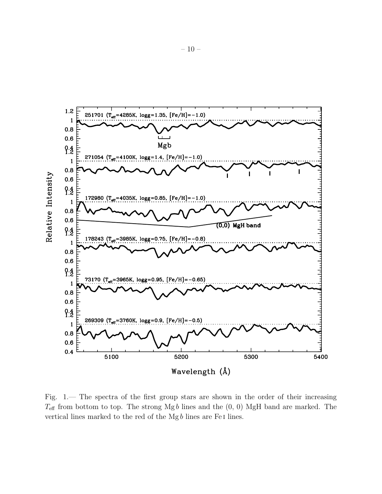

Fig. 1.— The spectra of the first group stars are shown in the order of their increasing  $T_{\text{eff}}$  from bottom to top. The strong Mgb lines and the  $(0, 0)$  MgH band are marked. The vertical lines marked to the red of the  $Mg b$  lines are Fe I lines.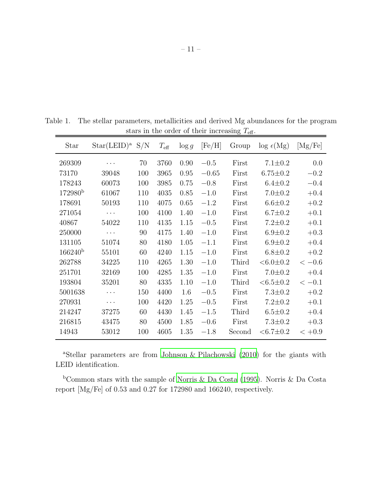| Star                | $Star(LEID)^a$ S/N |     | $T_{\rm eff}$ | $\log g$ | [Fe/H]  | Group  | $\log \epsilon(Mg)$  | [Mg/Fe]  |
|---------------------|--------------------|-----|---------------|----------|---------|--------|----------------------|----------|
| 269309              | .                  | 70  | 3760          | 0.90     | $-0.5$  | First  | $7.1 \pm 0.2$        | 0.0      |
| 73170               | 39048              | 100 | 3965          | 0.95     | $-0.65$ | First  | $6.75 \pm 0.2$       | $-0.2$   |
| 178243              | 60073              | 100 | 3985          | 0.75     | $-0.8$  | First  | $6.4 \pm 0.2$        | $-0.4$   |
| 172980 <sup>b</sup> | 61067              | 110 | 4035          | 0.85     | $-1.0$  | First  | $7.0 \pm 0.2$        | $+0.4$   |
| 178691              | 50193              | 110 | 4075          | 0.65     | $-1.2$  | First  | $6.6 \pm 0.2$        | $+0.2$   |
| 271054              | .                  | 100 | 4100          | 1.40     | $-1.0$  | First  | $6.7 \pm 0.2$        | $+0.1$   |
| 40867               | 54022              | 110 | 4135          | 1.15     | $-0.5$  | First  | $7.2 \pm 0.2$        | $+0.1$   |
| 250000              | $\cdots$           | 90  | 4175          | 1.40     | $-1.0$  | First  | $6.9 \pm 0.2$        | $+0.3$   |
| 131105              | 51074              | 80  | 4180          | 1.05     | $-1.1$  | First  | $6.9 \pm 0.2$        | $+0.4$   |
| $166240^{b}$        | 55101              | 60  | 4240          | 1.15     | $-1.0$  | First  | $6.8 \pm 0.2$        | $+0.2$   |
| 262788              | 34225              | 110 | 4265          | 1.30     | $-1.0$  | Third  | $<6.0\pm0.2$         | $<-0.6$  |
| 251701              | 32169              | 100 | 4285          | 1.35     | $-1.0$  | First  | $7.0 \pm 0.2$        | $+0.4$   |
| 193804              | 35201              | 80  | 4335          | 1.10     | $-1.0$  | Third  | $<\!\!6.5\!\pm\!0.2$ | $<-0.1$  |
| 5001638             | .                  | 150 | 4400          | 1.6      | $-0.5$  | First  | $7.3 \pm 0.2$        | $+0.2$   |
| 270931              | $\cdots$           | 100 | 4420          | 1.25     | $-0.5$  | First  | $7.2 \pm 0.2$        | $+0.1$   |
| 214247              | 37275              | 60  | 4430          | 1.45     | $-1.5$  | Third  | $6.5 \pm 0.2$        | $+0.4$   |
| 216815              | 43475              | 80  | 4500          | 1.85     | $-0.6$  | First  | $7.3 \pm 0.2$        | $+0.3$   |
| 14943               | 53012              | 100 | 4605          | 1.35     | $-1.8$  | Second | $<\!\!6.7\!\pm\!0.2$ | $< +0.9$ |

Table 1. The stellar parameters, metallicities and derived Mg abundances for the program stars in the order of their increasing  $T_{\text{eff}}$ .

<sup>a</sup>Stellar parameters are from [Johnson & Pilachowski \(2010](#page-8-2)) for the giants with LEID identification.

 $b$ Common stars with the sample of [Norris & Da Costa \(1995\)](#page-8-17). Norris & Da Costa report [Mg/Fe] of 0.53 and 0.27 for 172980 and 166240, respectively.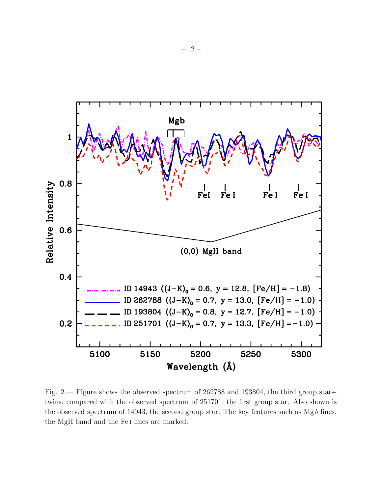

Fig. 2.— Figure shows the observed spectrum of 262788 and 193804, the third group starstwins, compared with the observed spectrum of 251701, the first group star. Also shown is the observed spectrum of 14943, the second group star. The key features such as  $Mg b$  lines, the MgH band and the Fe i lines are marked.